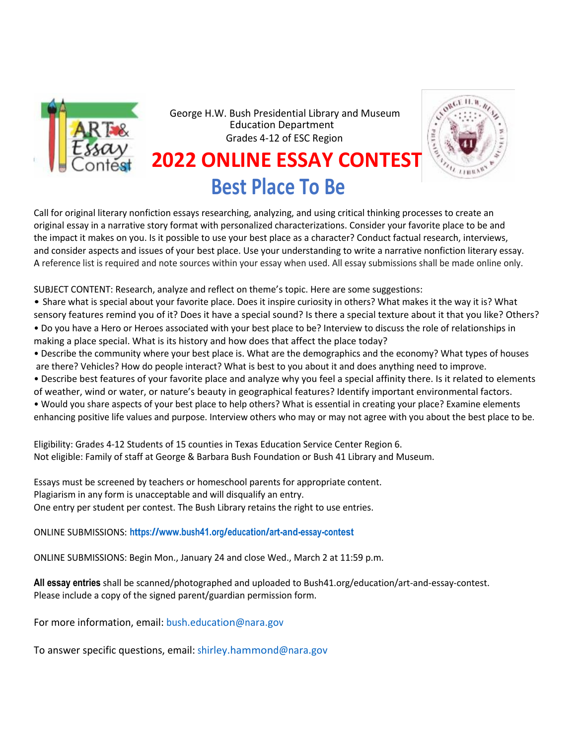

George H.W. Bush Presidential Library and Museum Education Department Grades 4-12 of ESC Region



# **2022 ONLINE ESSAY CONTEST Best Place To Be**

Call for original literary nonfiction essays researching, analyzing, and using critical thinking processes to create an original essay in a narrative story format with personalized characterizations. Consider your favorite place to be and the impact it makes on you. Is it possible to use your best place as a character? Conduct factual research, interviews, and consider aspects and issues of your best place. Use your understanding to write a narrative nonfiction literary essay. A reference list is required and note sources within your essay when used. All essay submissions shall be made online only.

SUBJECT CONTENT: Research, analyze and reflect on theme's topic. Here are some suggestions:

- Share what is special about your favorite place. Does it inspire curiosity in others? What makes it the way it is? What sensory features remind you of it? Does it have a special sound? Is there a special texture about it that you like? Others? • Do you have a Hero or Heroes associated with your best place to be? Interview to discuss the role of relationships in
- making a place special. What is its history and how does that affect the place today?
- Describe the community where your best place is. What are the demographics and the economy? What types of houses are there? Vehicles? How do people interact? What is best to you about it and does anything need to improve.
- Describe best features of your favorite place and analyze why you feel a special affinity there. Is it related to elements
- of weather, wind or water, or nature's beauty in geographical features? Identify important environmental factors.
- Would you share aspects of your best place to help others? What is essential in creating your place? Examine elements enhancing positive life valu[es and purpose. Interview others who may or may not agree w](http://www.sheliarogersfineart.com/OceansOfPlastic.html)ith you about the best place to be.

Eligibility: Grades 4-12 Students of 15 counties in Texas Education Service Center Region 6. Not eligible: Family of staff at George & Barbara Bush Foundation or Bush 41 Library and Museum.

Essays must be screened by teachers or homeschool parents for appropriate content. Plagiarism in any form is unacceptable and will disqualify an entry. One entry per student per contest. The Bush Library retains the right to use entries.

ONLINE SUBMISSIONS: **<https://www.bush41.org/education/art-and-essay-contest>**

ONLINE SUBMISSIONS: [Begin Mon., January](https://www.bush41.org/education/art-and-essay-contest) 24 and close Wed., March 2 at 11:59 p.m.

**All essay entries** shall be scanned/photographed and uploaded to Bush41.org/education/art-and-essay-contest. Please include a copy of the signed parent/guardian permission form.

For more information, email[:](mailto:bush.education@nara.gov) [bush.education@nara.gov](mailto:bush.education@nara.gov)

To answer specific questions, email[:](mailto:shirley.hammond@nara.gov) [shirley.hammond@nara.gov](mailto:shirley.hammond@nara.gov)